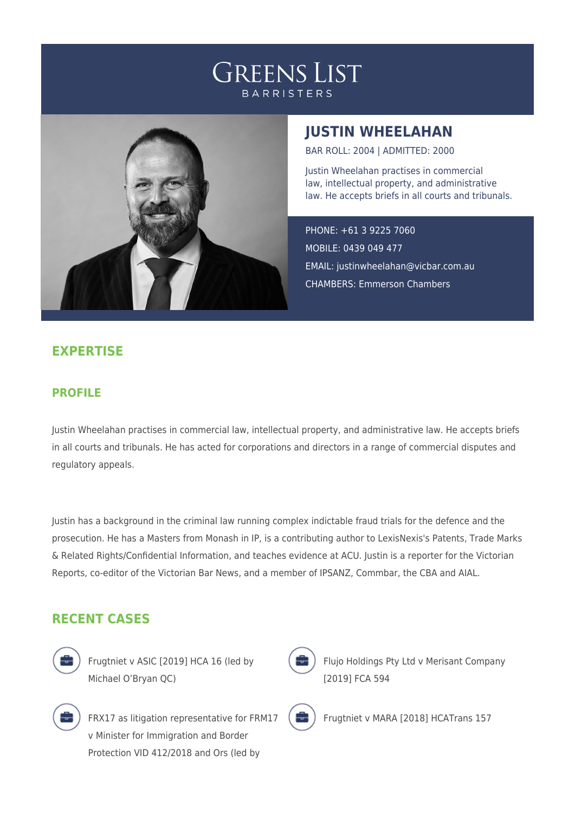# **GREENS LIST BARRISTERS**



## **JUSTIN WHEELAHAN**

BAR ROLL: 2004 | ADMITTED: 2000

Justin Wheelahan practises in commercial law, intellectual property, and administrative law. He accepts briefs in all courts and tribunals.

PHONE: +61 3 9225 7060 MOBILE: 0439 049 477 EMAIL: [justinwheelahan@vicbar.com.au](mailto:justinwheelahan@vicbar.com.au) CHAMBERS: Emmerson Chambers

### **EXPERTISE**

#### **PROFILE**

Justin Wheelahan practises in commercial law, intellectual property, and administrative law. He accepts briefs in all courts and tribunals. He has acted for corporations and directors in a range of commercial disputes and regulatory appeals.

Justin has a background in the criminal law running complex indictable fraud trials for the defence and the prosecution. He has a Masters from Monash in IP, is a contributing author to LexisNexis's Patents, Trade Marks & Related Rights/Confidential Information, and teaches evidence at ACU. Justin is a reporter for the Victorian Reports, co-editor of the Victorian Bar News, and a member of IPSANZ, Commbar, the CBA and AIAL.

#### **RECENT CASES**



Frugtniet v ASIC [2019] HCA 16 (led by Michael O'Bryan QC)



FRX17 as litigation representative for FRM17 v Minister for Immigration and Border Protection VID 412/2018 and Ors (led by



Flujo Holdings Pty Ltd v Merisant Company [2019] FCA 594

Frugtniet v MARA [2018] HCATrans 157